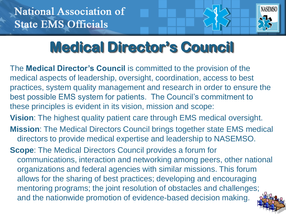

# **Medical Director's Council**

The **Medical Director's Council** is committed to the provision of the medical aspects of leadership, oversight, coordination, access to best practices, system quality management and research in order to ensure the best possible EMS system for patients. The Council's commitment to these principles is evident in its vision, mission and scope:

**Vision**: The highest quality patient care through EMS medical oversight.

- **Mission**: The Medical Directors Council brings together state EMS medical directors to provide medical expertise and leadership to NASEMSO.
- **Scope**: The Medical Directors Council provides a forum for communications, interaction and networking among peers, other national organizations and federal agencies with similar missions. This forum allows for the sharing of best practices; developing and encouraging mentoring programs; the joint resolution of obstacles and challenges; and the nationwide promotion of evidence-based decision making.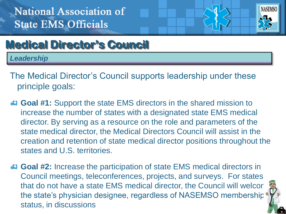

## **Medical Director's Council**

*Leadership*

- The Medical Director's Council supports leadership under these principle goals:
- **Goal #1:** Support the state EMS directors in the shared mission to increase the number of states with a designated state EMS medical director. By serving as a resource on the role and parameters of the state medical director, the Medical Directors Council will assist in the creation and retention of state medical director positions throughout the states and U.S. territories.
- **Goal #2:** Increase the participation of state EMS medical directors in Council meetings, teleconferences, projects, and surveys. For states that do not have a state EMS medical director, the Council will welcor the state's physician designee, regardless of NASEMSO membership status, in discussions

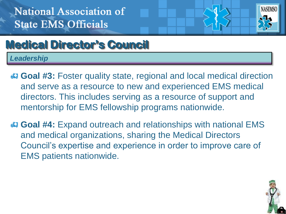

# **Medical Director's Council**

*Leadership*

- **Goal #3:** Foster quality state, regional and local medical direction and serve as a resource to new and experienced EMS medical directors. This includes serving as a resource of support and mentorship for EMS fellowship programs nationwide.
- **Goal #4:** Expand outreach and relationships with national EMS and medical organizations, sharing the Medical Directors Council's expertise and experience in order to improve care of EMS patients nationwide.

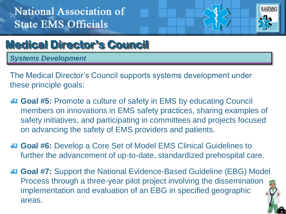

## **Medical Director's Council**

*Systems Development*

The Medical Director's Council supports systems development under these principle goals:

- **Goal #5:** Promote a culture of safety in EMS by educating Council members on innovations in EMS safety practices, sharing examples of safety initiatives, and participating in committees and projects focused on advancing the safety of EMS providers and patients.
- **Goal #6:** Develop a Core Set of Model EMS Clinical Guidelines to further the advancement of up-to-date, standardized prehospital care.
- **Goal #7:** Support the National Evidence-Based Guideline (EBG) Model Process through a three-year pilot project involving the dissemination, implementation and evaluation of an EBG in specified geographic areas.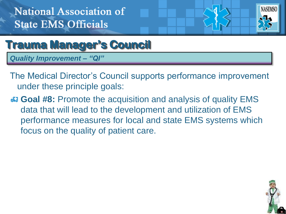

#### **Trauma Manager's Council**

*Quality Improvement – "QI"*

- The Medical Director's Council supports performance improvement under these principle goals:
- **Goal #8:** Promote the acquisition and analysis of quality EMS data that will lead to the development and utilization of EMS performance measures for local and state EMS systems which focus on the quality of patient care.

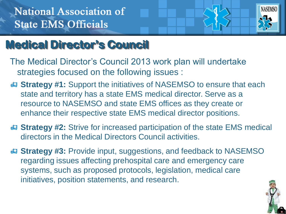

# **Medical Director's Council**

- The Medical Director's Council 2013 work plan will undertake strategies focused on the following issues :
- **Strategy #1:** Support the initiatives of NASEMSO to ensure that each state and territory has a state EMS medical director. Serve as a resource to NASEMSO and state EMS offices as they create or enhance their respective state EMS medical director positions.
- **Strategy #2:** Strive for increased participation of the state EMS medical directors in the Medical Directors Council activities.
- **B** Strategy #3: Provide input, suggestions, and feedback to NASEMSO regarding issues affecting prehospital care and emergency care systems, such as proposed protocols, legislation, medical care initiatives, position statements, and research.

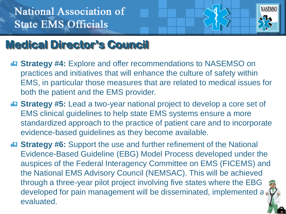

# **Medical Director's Council**

- **Strategy #4:** Explore and offer recommendations to NASEMSO on practices and initiatives that will enhance the culture of safety within EMS, in particular those measures that are related to medical issues for both the patient and the EMS provider.
- **Strategy #5:** Lead a two-year national project to develop a core set of EMS clinical guidelines to help state EMS systems ensure a more standardized approach to the practice of patient care and to incorporate evidence-based guidelines as they become available.
- **Strategy #6:** Support the use and further refinement of the National Evidence-Based Guideline (EBG) Model Process developed under the auspices of the Federal Interagency Committee on EMS (FICEMS) and the National EMS Advisory Council (NEMSAC). This will be achieved through a three-year pilot project involving five states where the EBG developed for pain management will be disseminated, implemented a evaluated.